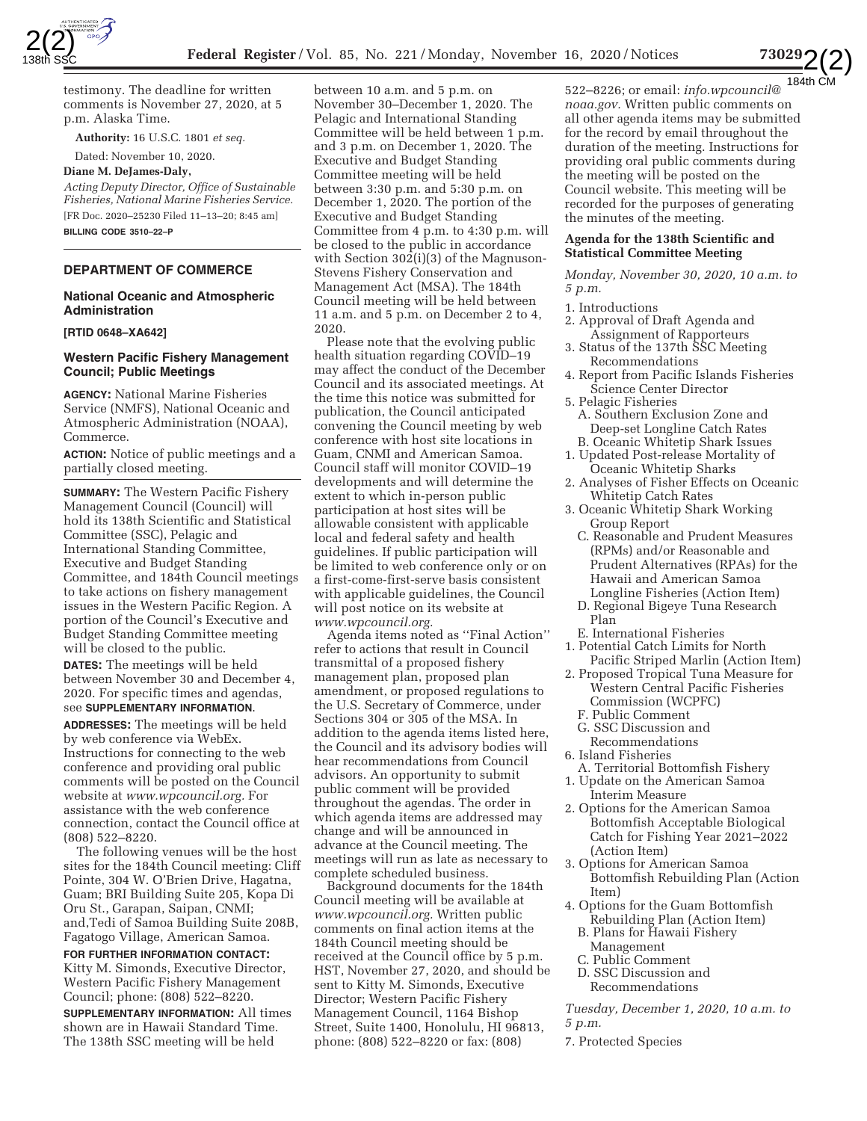



testimony. The deadline for written comments is November 27, 2020, at 5 p.m. Alaska Time.

**Authority:** 16 U.S.C. 1801 *et seq.* 

# Dated: November 10, 2020.

**Diane M. DeJames-Daly,**  *Acting Deputy Director, Office of Sustainable* 

*Fisheries, National Marine Fisheries Service.*  [FR Doc. 2020–25230 Filed 11–13–20; 8:45 am] **BILLING CODE 3510–22–P** 

# **DEPARTMENT OF COMMERCE**

### **National Oceanic and Atmospheric Administration**

#### **[RTID 0648–XA642]**

# **Western Pacific Fishery Management Council; Public Meetings**

**AGENCY:** National Marine Fisheries Service (NMFS), National Oceanic and Atmospheric Administration (NOAA), Commerce.

**ACTION:** Notice of public meetings and a partially closed meeting.

**SUMMARY:** The Western Pacific Fishery Management Council (Council) will hold its 138th Scientific and Statistical Committee (SSC), Pelagic and International Standing Committee, Executive and Budget Standing Committee, and 184th Council meetings to take actions on fishery management issues in the Western Pacific Region. A portion of the Council's Executive and Budget Standing Committee meeting will be closed to the public.

**DATES:** The meetings will be held between November 30 and December 4, 2020. For specific times and agendas, see **SUPPLEMENTARY INFORMATION**.

**ADDRESSES:** The meetings will be held by web conference via WebEx. Instructions for connecting to the web conference and providing oral public comments will be posted on the Council website at *www.wpcouncil.org.* For assistance with the web conference connection, contact the Council office at (808) 522–8220.

The following venues will be the host sites for the 184th Council meeting: Cliff Pointe, 304 W. O'Brien Drive, Hagatna, Guam; BRI Building Suite 205, Kopa Di Oru St., Garapan, Saipan, CNMI; and,Tedi of Samoa Building Suite 208B, Fagatogo Village, American Samoa.

**FOR FURTHER INFORMATION CONTACT:**  Kitty M. Simonds, Executive Director, Western Pacific Fishery Management Council; phone: (808) 522–8220.

**SUPPLEMENTARY INFORMATION:** All times shown are in Hawaii Standard Time. The 138th SSC meeting will be held

between 10 a.m. and 5 p.m. on November 30–December 1, 2020. The Pelagic and International Standing Committee will be held between 1 p.m. and 3 p.m. on December 1, 2020. The Executive and Budget Standing Committee meeting will be held between 3:30 p.m. and 5:30 p.m. on December 1, 2020. The portion of the Executive and Budget Standing Committee from 4 p.m. to 4:30 p.m. will be closed to the public in accordance with Section 302(i)(3) of the Magnuson-Stevens Fishery Conservation and Management Act (MSA). The 184th Council meeting will be held between 11 a.m. and 5 p.m. on December 2 to 4, 2020.

Please note that the evolving public health situation regarding COVID–19 may affect the conduct of the December Council and its associated meetings. At the time this notice was submitted for publication, the Council anticipated convening the Council meeting by web conference with host site locations in Guam, CNMI and American Samoa. Council staff will monitor COVID–19 developments and will determine the extent to which in-person public participation at host sites will be allowable consistent with applicable local and federal safety and health guidelines. If public participation will be limited to web conference only or on a first-come-first-serve basis consistent with applicable guidelines, the Council will post notice on its website at *www.wpcouncil.org.* 

Agenda items noted as ''Final Action'' refer to actions that result in Council transmittal of a proposed fishery management plan, proposed plan amendment, or proposed regulations to the U.S. Secretary of Commerce, under Sections 304 or 305 of the MSA. In addition to the agenda items listed here, the Council and its advisory bodies will hear recommendations from Council advisors. An opportunity to submit public comment will be provided throughout the agendas. The order in which agenda items are addressed may change and will be announced in advance at the Council meeting. The meetings will run as late as necessary to complete scheduled business.

Background documents for the 184th Council meeting will be available at *www.wpcouncil.org.* Written public comments on final action items at the 184th Council meeting should be received at the Council office by 5 p.m. HST, November 27, 2020, and should be sent to Kitty M. Simonds, Executive Director; Western Pacific Fishery Management Council, 1164 Bishop Street, Suite 1400, Honolulu, HI 96813, phone: (808) 522–8220 or fax: (808)

522–8226; or email: *info.wpcouncil@ noaa.gov.* Written public comments on all other agenda items may be submitted for the record by email throughout the duration of the meeting. Instructions for providing oral public comments during the meeting will be posted on the Council website. This meeting will be recorded for the purposes of generating the minutes of the meeting.

# **Agenda for the 138th Scientific and Statistical Committee Meeting**

*Monday, November 30, 2020, 10 a.m. to 5 p.m.* 

#### 1. Introductions

- 2. Approval of Draft Agenda and Assignment of Rapporteurs
- 3. Status of the 137th SSC Meeting Recommendations
- 4. Report from Pacific Islands Fisheries Science Center Director
- 5. Pelagic Fisheries A. Southern Exclusion Zone and Deep-set Longline Catch Rates B. Oceanic Whitetip Shark Issues
- 1. Updated Post-release Mortality of Oceanic Whitetip Sharks
- 2. Analyses of Fisher Effects on Oceanic Whitetip Catch Rates
- 3. Oceanic Whitetip Shark Working Group Report
	- C. Reasonable and Prudent Measures (RPMs) and/or Reasonable and Prudent Alternatives (RPAs) for the Hawaii and American Samoa Longline Fisheries (Action Item)
	- D. Regional Bigeye Tuna Research Plan
- E. International Fisheries
- 1. Potential Catch Limits for North Pacific Striped Marlin (Action Item)
- 2. Proposed Tropical Tuna Measure for Western Central Pacific Fisheries Commission (WCPFC)
	- F. Public Comment
	- G. SSC Discussion and
- Recommendations
- 6. Island Fisheries
- A. Territorial Bottomfish Fishery 1. Update on the American Samoa Interim Measure
- 2. Options for the American Samoa Bottomfish Acceptable Biological Catch for Fishing Year 2021–2022 (Action Item)
- 3. Options for American Samoa Bottomfish Rebuilding Plan (Action Item)
- 4. Options for the Guam Bottomfish Rebuilding Plan (Action Item)
	- B. Plans for Hawaii Fishery Management
	- C. Public Comment
	- D. SSC Discussion and
	- Recommendations

*Tuesday, December 1, 2020, 10 a.m. to 5 p.m.* 

7. Protected Species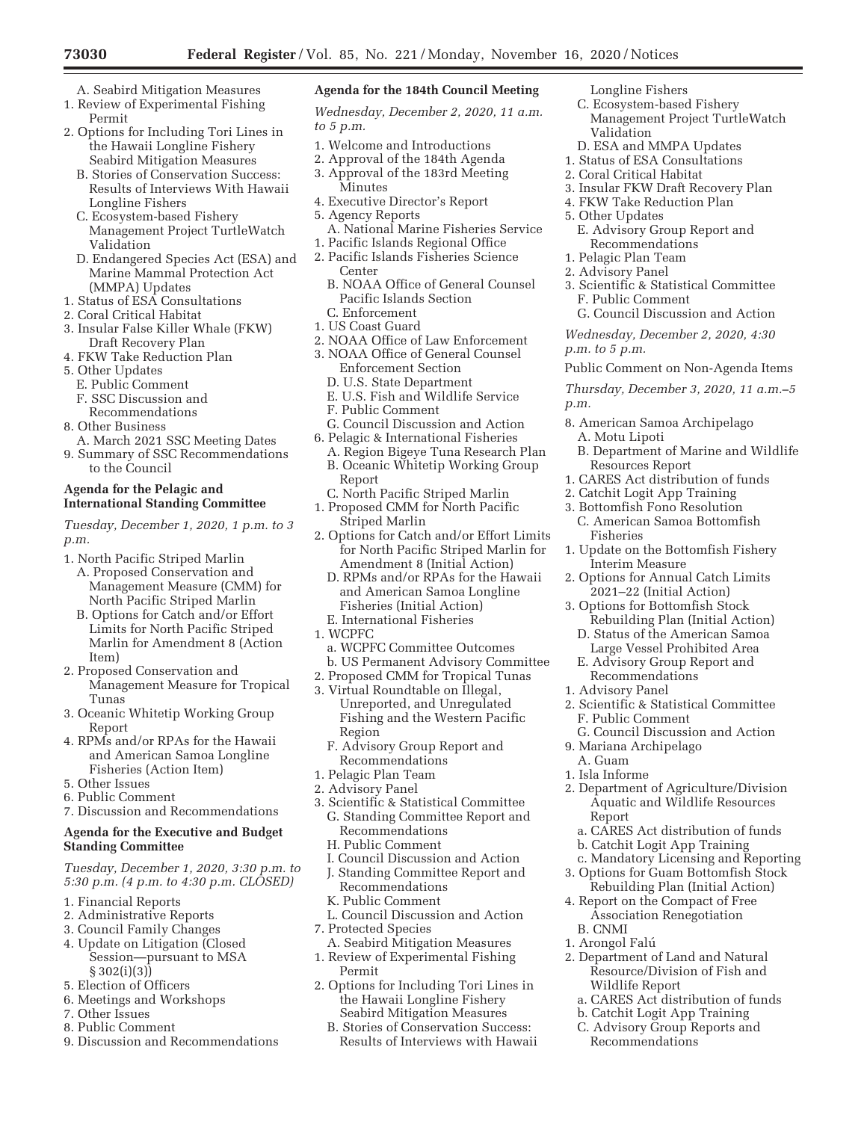- A. Seabird Mitigation Measures
- 1. Review of Experimental Fishing Permit
- 2. Options for Including Tori Lines in the Hawaii Longline Fishery Seabird Mitigation Measures
	- B. Stories of Conservation Success: Results of Interviews With Hawaii Longline Fishers
	- C. Ecosystem-based Fishery Management Project TurtleWatch Validation
	- D. Endangered Species Act (ESA) and Marine Mammal Protection Act (MMPA) Updates
- 1. Status of ESA Consultations
- 2. Coral Critical Habitat
- 3. Insular False Killer Whale (FKW) Draft Recovery Plan
- 4. FKW Take Reduction Plan
- 5. Other Updates
	- E. Public Comment
	- F. SSC Discussion and
- Recommendations
- 8. Other Business
- A. March 2021 SSC Meeting Dates 9. Summary of SSC Recommendations to the Council

# **Agenda for the Pelagic and International Standing Committee**

*Tuesday, December 1, 2020, 1 p.m. to 3 p.m.* 

- 1. North Pacific Striped Marlin
	- A. Proposed Conservation and Management Measure (CMM) for North Pacific Striped Marlin
	- B. Options for Catch and/or Effort Limits for North Pacific Striped Marlin for Amendment 8 (Action Item)
- 2. Proposed Conservation and Management Measure for Tropical Tunas
- 3. Oceanic Whitetip Working Group Report
- 4. RPMs and/or RPAs for the Hawaii and American Samoa Longline Fisheries (Action Item)
- 5. Other Issues
- 6. Public Comment
- 7. Discussion and Recommendations

# **Agenda for the Executive and Budget Standing Committee**

*Tuesday, December 1, 2020, 3:30 p.m. to 5:30 p.m. (4 p.m. to 4:30 p.m. CLOSED)* 

- 1. Financial Reports
- 2. Administrative Reports
- 3. Council Family Changes
- 4. Update on Litigation (Closed Session—pursuant to MSA § 302(i)(3))
- 5. Election of Officers
- 6. Meetings and Workshops
- 7. Other Issues
- 8. Public Comment
- 9. Discussion and Recommendations

# **Agenda for the 184th Council Meeting**

*Wednesday, December 2, 2020, 11 a.m. to 5 p.m.* 

- 1. Welcome and Introductions
- 2. Approval of the 184th Agenda
- 3. Approval of the 183rd Meeting Minutes
- 4. Executive Director's Report
- 5. Agency Reports
- A. National Marine Fisheries Service
- 1. Pacific Islands Regional Office
- 2. Pacific Islands Fisheries Science Center
	- B. NOAA Office of General Counsel Pacific Islands Section C. Enforcement
- 1. US Coast Guard
- 2. NOAA Office of Law Enforcement
- 3. NOAA Office of General Counsel
	- Enforcement Section
	- D. U.S. State Department
	- E. U.S. Fish and Wildlife Service
	- F. Public Comment
- G. Council Discussion and Action
- 6. Pelagic & International Fisheries A. Region Bigeye Tuna Research Plan B. Oceanic Whitetip Working Group Report
	- C. North Pacific Striped Marlin
- 1. Proposed CMM for North Pacific Striped Marlin
- 2. Options for Catch and/or Effort Limits for North Pacific Striped Marlin for Amendment 8 (Initial Action)
	- D. RPMs and/or RPAs for the Hawaii and American Samoa Longline Fisheries (Initial Action)
	- E. International Fisheries
- 1. WCPFC
- a. WCPFC Committee Outcomes b. US Permanent Advisory Committee
- 2. Proposed CMM for Tropical Tunas
- 3. Virtual Roundtable on Illegal, Unreported, and Unregulated Fishing and the Western Pacific Region
	- F. Advisory Group Report and Recommendations
- 1. Pelagic Plan Team
- 2. Advisory Panel
- 3. Scientific & Statistical Committee G. Standing Committee Report and Recommendations
	- H. Public Comment
	- I. Council Discussion and Action
	- J. Standing Committee Report and
	- Recommendations
	- K. Public Comment
- L. Council Discussion and Action 7. Protected Species
- A. Seabird Mitigation Measures 1. Review of Experimental Fishing
- Permit 2. Options for Including Tori Lines in the Hawaii Longline Fishery Seabird Mitigation Measures
	- B. Stories of Conservation Success: Results of Interviews with Hawaii
- Longline Fishers
- C. Ecosystem-based Fishery Management Project TurtleWatch Validation
- D. ESA and MMPA Updates
- 1. Status of ESA Consultations
- 2. Coral Critical Habitat
- 3. Insular FKW Draft Recovery Plan
- 4. FKW Take Reduction Plan
- 5. Other Updates
	- E. Advisory Group Report and Recommendations
- 1. Pelagic Plan Team
- 2. Advisory Panel

Fisheries

1. Advisory Panel

A. Guam 1. Isla Informe

Report

B. CNMI 1. Arongol Falú

F. Public Comment

9. Mariana Archipelago

Interim Measure

- 3. Scientific & Statistical Committee F. Public Comment
- G. Council Discussion and Action

*Wednesday, December 2, 2020, 4:30 p.m. to 5 p.m.* 

Public Comment on Non-Agenda Items

*Thursday, December 3, 2020, 11 a.m.–5 p.m.* 

8. American Samoa Archipelago A. Motu Lipoti

1. CARES Act distribution of funds 2. Catchit Logit App Training 3. Bottomfish Fono Resolution C. American Samoa Bottomfish

1. Update on the Bottomfish Fishery

2. Options for Annual Catch Limits 2021–22 (Initial Action) 3. Options for Bottomfish Stock

2. Scientific & Statistical Committee

G. Council Discussion and Action

2. Department of Agriculture/Division Aquatic and Wildlife Resources

a. CARES Act distribution of funds b. Catchit Logit App Training

2. Department of Land and Natural Resource/Division of Fish and

a. CARES Act distribution of funds b. Catchit Logit App Training C. Advisory Group Reports and

Wildlife Report

Recommendations

c. Mandatory Licensing and Reporting 3. Options for Guam Bottomfish Stock Rebuilding Plan (Initial Action) 4. Report on the Compact of Free Association Renegotiation

Rebuilding Plan (Initial Action) D. Status of the American Samoa Large Vessel Prohibited Area E. Advisory Group Report and Recommendations

B. Department of Marine and Wildlife Resources Report